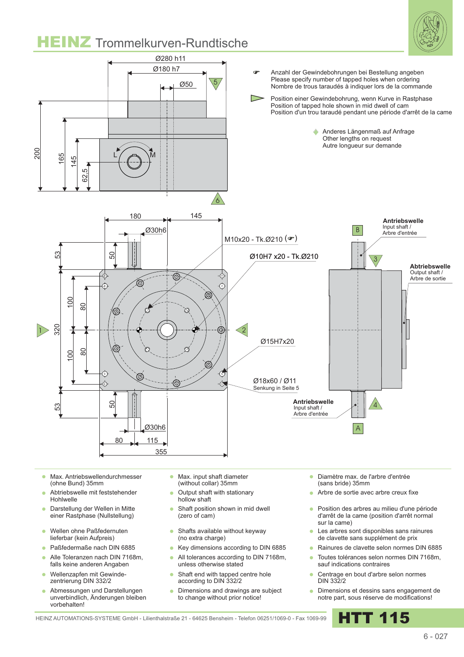

- Max. Antriebswellendurchmesser  $\sim$ (ohne Bund) 35mm
- Abtriebswelle mit feststehender Hohlwelle
- Darstellung der Wellen in Mitte  $\bullet$ einer Rastphase (Nullstellung)
- Wellen ohne Paßfedernuten  $\bullet$ lieferbar (kein Aufpreis)
- Paßfedermaße nach DIN 6885
- Alle Toleranzen nach DIN 7168m,  $\sim$ falls keine anderen Angaben
- Wellenzapfen mit Gewindezentrierung DIN 332/2
- Abmessungen und Darstellungen unverbindlich, Änderungen bleiben vorbehalten!
- Max. input shaft diameter  $\sim$ (without collar) 35mm
- Output shaft with stationary hollow shaft
- Shaft position shown in mid dwell  $\bullet$ (zero of cam)
- Shafts available without keyway  $\bullet$ (no extra charge)
- Key dimensions according to DIN 6885 ٠
- All tolerances according to DIN 7168m, ä unless otherwise stated
- Shaft end with tapped centre hole ä according to DIN 332/2
- Dimensions and drawings are subject ö to change without prior notice!
- Diamètre max. de l'arbre d'entrée (sans bride) 35mm
- **Arbre de sortie avec arbre creux fixe**
- Position des arbres au milieu d'une période d'arrêt de la came (position d'arrêt normal sur la came)
- Les arbres sont disponibles sans rainures de clavette sans supplément de prix
- Rainures de clavette selon normes DIN 6885
- Toutes tolérances selon normes DIN 7168m, sauf indications contraires
- Centrage en bout d'arbre selon normes DIN 332/2
- **·** Dimensions et dessins sans engagement de notre part, sous réserve de modifications!

HEINZ AUTOMATIONS-SYSTEME GmbH - Lilienthalstraße 21 - 64625 Bensheim - Telefon 06251/1069-0 - Fax 1069-99 HTT 115